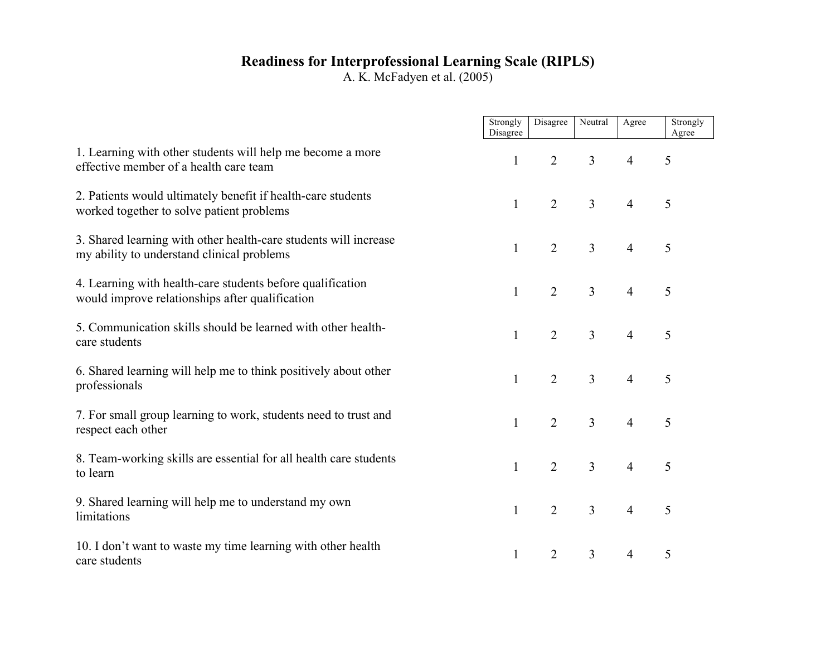## **Readiness for Interprofessional Learning Scale (RIPLS)**

A. K. McFadyen et al. (2005)

|                                                                                                                | Strongly<br>Disagree | Disagree       | Neutral        | Agree          | Strongly<br>Agree |
|----------------------------------------------------------------------------------------------------------------|----------------------|----------------|----------------|----------------|-------------------|
| 1. Learning with other students will help me become a more<br>effective member of a health care team           | $\mathbf{1}$         | $\overline{2}$ | $\overline{3}$ | $\overline{4}$ | 5                 |
| 2. Patients would ultimately benefit if health-care students<br>worked together to solve patient problems      | 1                    | $\overline{2}$ | $\overline{3}$ | $\overline{4}$ | 5                 |
| 3. Shared learning with other health-care students will increase<br>my ability to understand clinical problems | $\mathbf{1}$         | $\overline{2}$ | $\overline{3}$ | $\overline{4}$ | 5                 |
| 4. Learning with health-care students before qualification<br>would improve relationships after qualification  | 1                    | $\overline{2}$ | $\overline{3}$ | $\overline{4}$ | 5                 |
| 5. Communication skills should be learned with other health-<br>care students                                  | $\mathbf{1}$         | $\overline{2}$ | $\overline{3}$ | $\overline{4}$ | 5                 |
| 6. Shared learning will help me to think positively about other<br>professionals                               | $\mathbf{1}$         | $\overline{2}$ | $\overline{3}$ | $\overline{4}$ | 5                 |
| 7. For small group learning to work, students need to trust and<br>respect each other                          | 1                    | $\overline{2}$ | $\overline{3}$ | $\overline{4}$ | 5                 |
| 8. Team-working skills are essential for all health care students<br>to learn                                  | $\mathbf{1}$         | $\overline{2}$ | $\overline{3}$ | $\overline{4}$ | 5                 |
| 9. Shared learning will help me to understand my own<br>limitations                                            | $\mathbf{1}$         | $\overline{2}$ | $\overline{3}$ | $\overline{4}$ | 5                 |
| 10. I don't want to waste my time learning with other health<br>care students                                  | 1                    | $\overline{2}$ | $\overline{3}$ | $\overline{4}$ | 5                 |